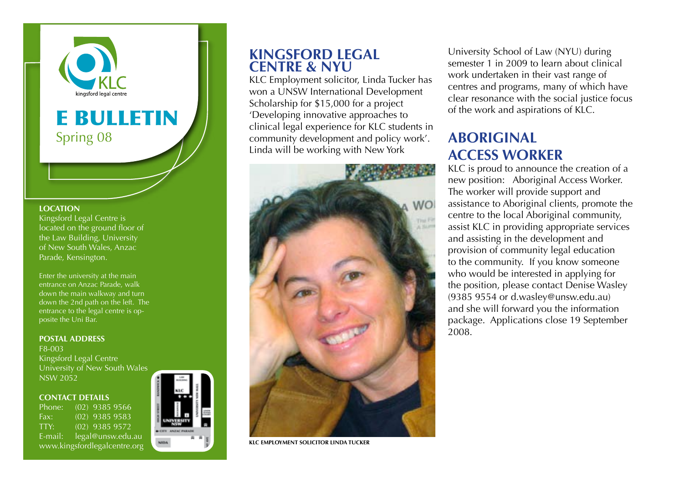

# E BULLETIN Spring 08

#### **LOCATION**

Kingsford Legal Centre is located on the ground floor of the Law Building, University of New South Wales, Anzac Parade, Kensington.

Enter the university at the main entrance on Anzac Parade, walk down the main walkway and turn down the 2nd path on the left. The entrance to the legal centre is opposite the Uni Bar.

#### **POSTAL ADDRESS** F8-003

Kingsford Legal Centre University of New South Wales NSW 2052

#### **Contact details**

Phone: (02) 9385 9566 Fax: (02) 9385 9583 TTY: (02) 9385 9572 E-mail: legal@unsw.edu.au www.kingsfordlegalcentre.org



#### **Kingsford Legal Centre & NYU**

KLC Employment solicitor, Linda Tucker has won a UNSW International Development Scholarship for \$15,000 for a project 'Developing innovative approaches to clinical legal experience for KLC students in community development and policy work'. Linda will be working with New York



**KLC employment solicitor Linda Tucker**

University School of Law (NYU) during semester 1 in 2009 to learn about clinical work undertaken in their vast range of centres and programs, many of which have clear resonance with the social justice focus of the work and aspirations of KLC.

## **ABORIGINAL Access Worker**

KLC is proud to announce the creation of a new position: Aboriginal Access Worker. The worker will provide support and assistance to Aboriginal clients, promote the centre to the local Aboriginal community, assist KLC in providing appropriate services and assisting in the development and provision of community legal education to the community. If you know someone who would be interested in applying for the position, please contact Denise Wasley (9385 9554 or d.wasley@unsw.edu.au) and she will forward you the information package. Applications close 19 September 2008.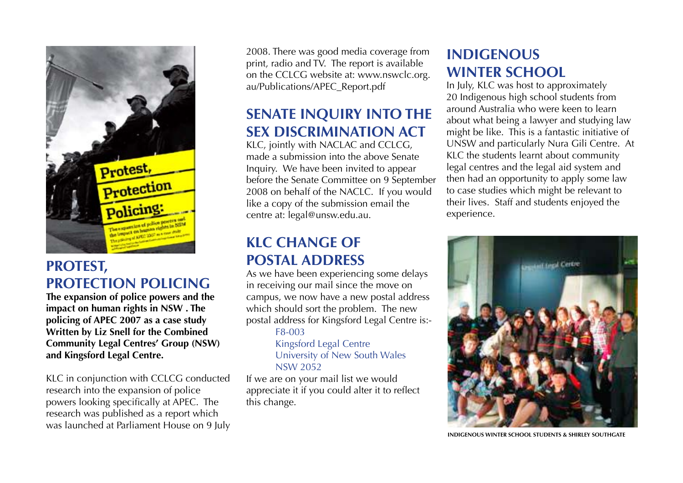

## **Protest, Protection Policing**

**The expansion of police powers and the impact on human rights in NSW . The policing of APEC 2007 as a case study Written by Liz Snell for the Combined Community Legal Centres' Group (NSW) and Kingsford Legal Centre.**

KLC in conjunction with CCLCG conducted research into the expansion of police powers looking specifically at APEC. The research was published as a report which was launched at Parliament House on 9 July 2008. There was good media coverage from print, radio and TV. The report is available on the CCLCG website at: www.nswclc.org. au/Publications/APEC\_Report.pdf

# **Senate Inquiry into the Sex Discrimination Act**

KLC, jointly with NACLAC and CCLCG, made a submission into the above Senate Inquiry. We have been invited to appear before the Senate Committee on 9 September 2008 on behalf of the NACLC. If you would like a copy of the submission email the centre at: legal@unsw.edu.au.

## **KLC Change of Postal Address**

As we have been experiencing some delays in receiving our mail since the move on campus, we now have a new postal address which should sort the problem. The new postal address for Kingsford Legal Centre is:- F8-003

> Kingsford Legal Centre University of New South Wales NSW 2052

If we are on your mail list we would appreciate it if you could alter it to reflect this change.

## **Indigenous winter school**

In July, KLC was host to approximately 20 Indigenous high school students from around Australia who were keen to learn about what being a lawyer and studying law might be like. This is a fantastic initiative of UNSW and particularly Nura Gili Centre. At KLC the students learnt about community legal centres and the legal aid system and then had an opportunity to apply some law to case studies which might be relevant to their lives. Staff and students enjoyed the experience.



**Indigenous Winter School students & Shirley Southgate**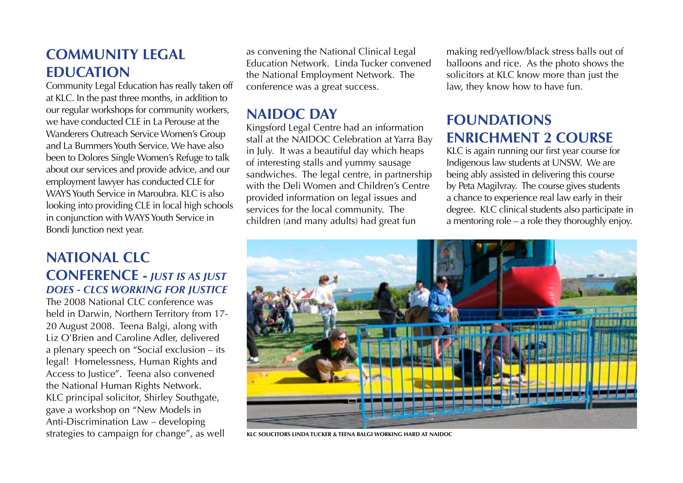### **Community Legal Education**

Community Legal Education has really taken off at KLC. In the past three months, in addition to our regular workshops for community workers, we have conducted CLE in La Perouse at the Wanderers Outreach Service Women's Group and La Bummers Youth Service. We have also been to Dolores Single Women's Refuge to talk about our services and provide advice, and our employment lawyer has conducted CLE for WAYS Youth Service in Maroubra. KLC is also looking into providing CLE in local high schools in conjunction with WAYS Youth Service in Bondi Junction next year.

#### **National CLC Conference -** *Just is as Just does - CLCs working for Justice*

The 2008 National CLC conference was held in Darwin, Northern Territory from 17- 20 August 2008. Teena Balgi, along with Liz O'Brien and Caroline Adler, delivered a plenary speech on "Social exclusion – its legal! Homelessness, Human Rights and Access to Justice". Teena also convened the National Human Rights Network. KLC principal solicitor, Shirley Southgate, gave a workshop on "New Models in Anti-Discrimination Law – developing strategies to campaign for change", as well

as convening the National Clinical Legal Education Network. Linda Tucker convened the National Employment Network. The conference was a great success.

#### **NAIDOC Day**

Kingsford Legal Centre had an information stall at the NAIDOC Celebration at Yarra Bay in July. It was a beautiful day which heaps of interesting stalls and yummy sausage sandwiches. The legal centre, in partnership with the Deli Women and Children's Centre provided information on legal issues and services for the local community. The children (and many adults) had great fun

making red/yellow/black stress balls out of balloons and rice. As the photo shows the solicitors at KLC know more than just the law, they know how to have fun.

### **Foundations Enrichment 2 Course**

KLC is again running our first year course for Indigenous law students at UNSW. We are being ably assisted in delivering this course by Peta Magilvray. The course gives students a chance to experience real law early in their degree. KLC clinical students also participate in a mentoring role – a role they thoroughly enjoy.



**KLC solicitors Linda Tucker & Teena Balgi working hard at NAIDOC**